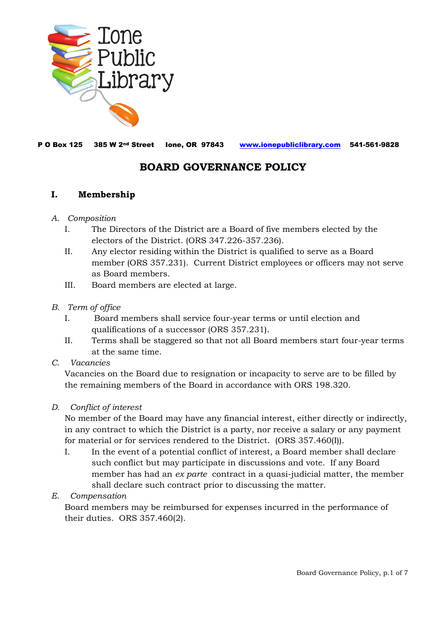

P O Box 125 385 W 2nd Street Ione, OR 97843 [www.ionepubliclibrary.com](http://www.ionepubliclibrary.com/) 541-561-9828

# **BOARD GOVERNANCE POLICY**

### **I. Membership**

#### *A. Composition*

- I. The Directors of the District are a Board of five members elected by the electors of the District. (ORS 347.226-357.236).
- II. Any elector residing within the District is qualified to serve as a Board member (ORS 357.231). Current District employees or officers may not serve as Board members.
- III. Board members are elected at large.

#### *B. Term of office*

- I. Board members shall service four-year terms or until election and qualifications of a successor (ORS 357.231).
- II. Terms shall be staggered so that not all Board members start four-year terms at the same time.

#### *C. Vacancies*

Vacancies on the Board due to resignation or incapacity to serve are to be filled by the remaining members of the Board in accordance with ORS 198.320.

#### *D. Conflict of interest*

No member of the Board may have any financial interest, either directly or indirectly, in any contract to which the District is a party, nor receive a salary or any payment for material or for services rendered to the District. (ORS 357.460(I)).

I. In the event of a potential conflict of interest, a Board member shall declare such conflict but may participate in discussions and vote. If any Board member has had an *ex parte* contract in a quasi-judicial matter, the member shall declare such contract prior to discussing the matter.

### *E. Compensation*

Board members may be reimbursed for expenses incurred in the performance of their duties. ORS 357.460(2).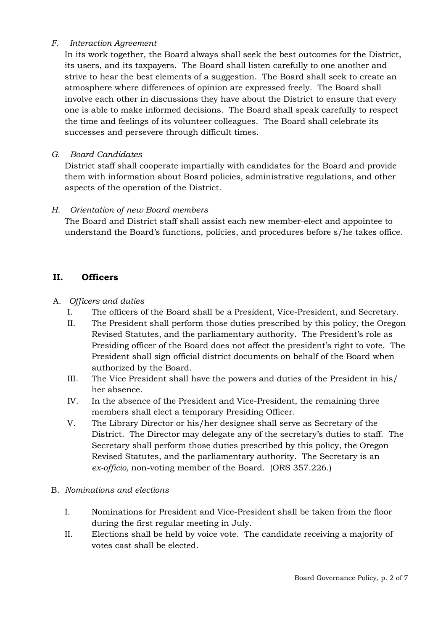#### *F. Interaction Agreement*

In its work together, the Board always shall seek the best outcomes for the District, its users, and its taxpayers. The Board shall listen carefully to one another and strive to hear the best elements of a suggestion. The Board shall seek to create an atmosphere where differences of opinion are expressed freely. The Board shall involve each other in discussions they have about the District to ensure that every one is able to make informed decisions. The Board shall speak carefully to respect the time and feelings of its volunteer colleagues. The Board shall celebrate its successes and persevere through difficult times.

#### *G. Board Candidates*

District staff shall cooperate impartially with candidates for the Board and provide them with information about Board policies, administrative regulations, and other aspects of the operation of the District.

#### *H. Orientation of new Board members*

The Board and District staff shall assist each new member-elect and appointee to understand the Board's functions, policies, and procedures before s/he takes office.

### **II. Officers**

### A. *Officers and duties*

- I. The officers of the Board shall be a President, Vice-President, and Secretary.
- II. The President shall perform those duties prescribed by this policy, the Oregon Revised Statutes, and the parliamentary authority. The President's role as Presiding officer of the Board does not affect the president's right to vote. The President shall sign official district documents on behalf of the Board when authorized by the Board.
- III. The Vice President shall have the powers and duties of the President in his/ her absence.
- IV. In the absence of the President and Vice-President, the remaining three members shall elect a temporary Presiding Officer.
- V. The Library Director or his/her designee shall serve as Secretary of the District. The Director may delegate any of the secretary's duties to staff. The Secretary shall perform those duties prescribed by this policy, the Oregon Revised Statutes, and the parliamentary authority. The Secretary is an *ex-officio,* non-voting member of the Board. (ORS 357.226.)

#### B. *Nominations and elections*

- I. Nominations for President and Vice-President shall be taken from the floor during the first regular meeting in July.
- II. Elections shall be held by voice vote. The candidate receiving a majority of votes cast shall be elected.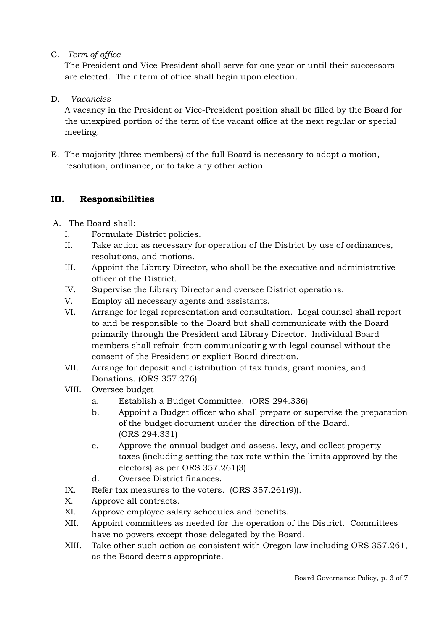C. *Term of office*

The President and Vice-President shall serve for one year or until their successors are elected. Their term of office shall begin upon election.

D. *Vacancies*

A vacancy in the President or Vice-President position shall be filled by the Board for the unexpired portion of the term of the vacant office at the next regular or special meeting.

 E. The majority (three members) of the full Board is necessary to adopt a motion, resolution, ordinance, or to take any other action.

### **III. Responsibilities**

- A. The Board shall:
	- I. Formulate District policies.
	- II. Take action as necessary for operation of the District by use of ordinances, resolutions, and motions.
	- III. Appoint the Library Director, who shall be the executive and administrative officer of the District.
	- IV. Supervise the Library Director and oversee District operations.
	- V. Employ all necessary agents and assistants.
	- VI. Arrange for legal representation and consultation. Legal counsel shall report to and be responsible to the Board but shall communicate with the Board primarily through the President and Library Director. Individual Board members shall refrain from communicating with legal counsel without the consent of the President or explicit Board direction.
	- VII. Arrange for deposit and distribution of tax funds, grant monies, and Donations. (ORS 357.276)
	- VIII. Oversee budget
		- a. Establish a Budget Committee. (ORS 294.336)
		- b. Appoint a Budget officer who shall prepare or supervise the preparation of the budget document under the direction of the Board. (ORS 294.331)
		- c. Approve the annual budget and assess, levy, and collect property taxes (including setting the tax rate within the limits approved by the electors) as per ORS 357.261(3)
		- d. Oversee District finances.
	- IX. Refer tax measures to the voters. (ORS 357.261(9)).
	- X. Approve all contracts.
	- XI. Approve employee salary schedules and benefits.
	- XII. Appoint committees as needed for the operation of the District. Committees have no powers except those delegated by the Board.
	- XIII. Take other such action as consistent with Oregon law including ORS 357.261, as the Board deems appropriate.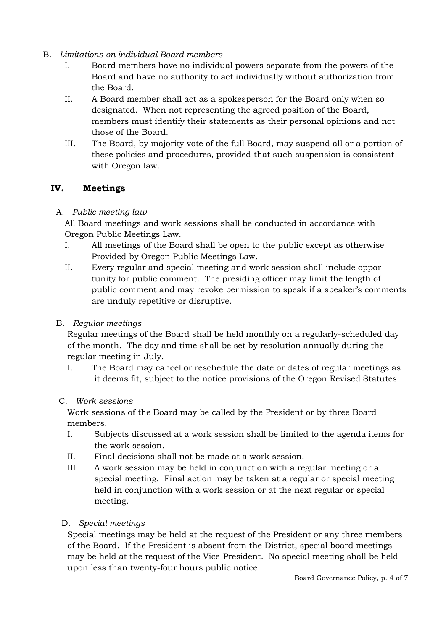- B. *Limitations on individual Board members*
	- I. Board members have no individual powers separate from the powers of the Board and have no authority to act individually without authorization from the Board.
	- II. A Board member shall act as a spokesperson for the Board only when so designated. When not representing the agreed position of the Board, members must identify their statements as their personal opinions and not those of the Board.
	- III. The Board, by majority vote of the full Board, may suspend all or a portion of these policies and procedures, provided that such suspension is consistent with Oregon law.

## **IV. Meetings**

### A. *Public meeting law*

All Board meetings and work sessions shall be conducted in accordance with Oregon Public Meetings Law.

- I. All meetings of the Board shall be open to the public except as otherwise Provided by Oregon Public Meetings Law.
- II. Every regular and special meeting and work session shall include opportunity for public comment. The presiding officer may limit the length of public comment and may revoke permission to speak if a speaker's comments are unduly repetitive or disruptive.
- B. *Regular meetings*

Regular meetings of the Board shall be held monthly on a regularly-scheduled day of the month. The day and time shall be set by resolution annually during the regular meeting in July.

- I. The Board may cancel or reschedule the date or dates of regular meetings as it deems fit, subject to the notice provisions of the Oregon Revised Statutes.
- C. *Work sessions*

Work sessions of the Board may be called by the President or by three Board members.

- I. Subjects discussed at a work session shall be limited to the agenda items for the work session.
- II. Final decisions shall not be made at a work session.
- III. A work session may be held in conjunction with a regular meeting or a special meeting. Final action may be taken at a regular or special meeting held in conjunction with a work session or at the next regular or special meeting.

### D. *Special meetings*

Special meetings may be held at the request of the President or any three members of the Board. If the President is absent from the District, special board meetings may be held at the request of the Vice-President. No special meeting shall be held upon less than twenty-four hours public notice.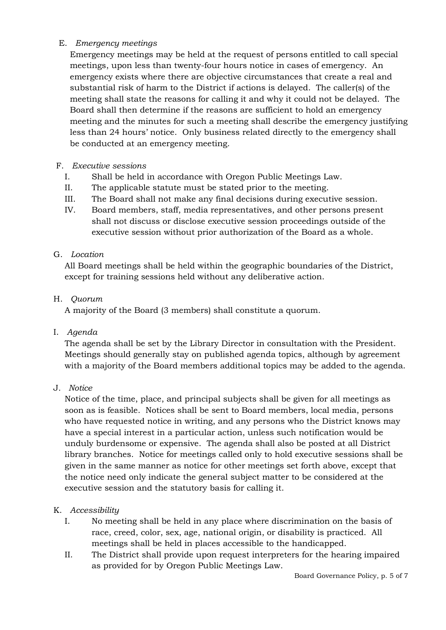#### E. *Emergency meetings*

 Emergency meetings may be held at the request of persons entitled to call special meetings, upon less than twenty-four hours notice in cases of emergency. An emergency exists where there are objective circumstances that create a real and substantial risk of harm to the District if actions is delayed. The caller(s) of the meeting shall state the reasons for calling it and why it could not be delayed. The Board shall then determine if the reasons are sufficient to hold an emergency meeting and the minutes for such a meeting shall describe the emergency justifying less than 24 hours' notice. Only business related directly to the emergency shall be conducted at an emergency meeting.

#### F. *Executive sessions*

- I. Shall be held in accordance with Oregon Public Meetings Law.
- II. The applicable statute must be stated prior to the meeting.
- III. The Board shall not make any final decisions during executive session.
- IV. Board members, staff, media representatives, and other persons present shall not discuss or disclose executive session proceedings outside of the executive session without prior authorization of the Board as a whole.

#### G. *Location*

All Board meetings shall be held within the geographic boundaries of the District, except for training sessions held without any deliberative action.

#### H. *Quorum*

A majority of the Board (3 members) shall constitute a quorum.

I. *Agenda*

The agenda shall be set by the Library Director in consultation with the President. Meetings should generally stay on published agenda topics, although by agreement with a majority of the Board members additional topics may be added to the agenda.

J*. Notice*

Notice of the time, place, and principal subjects shall be given for all meetings as soon as is feasible. Notices shall be sent to Board members, local media, persons who have requested notice in writing, and any persons who the District knows may have a special interest in a particular action, unless such notification would be unduly burdensome or expensive. The agenda shall also be posted at all District library branches. Notice for meetings called only to hold executive sessions shall be given in the same manner as notice for other meetings set forth above, except that the notice need only indicate the general subject matter to be considered at the executive session and the statutory basis for calling it.

### K. *Accessibility*

- I. No meeting shall be held in any place where discrimination on the basis of race, creed, color, sex, age, national origin, or disability is practiced. All meetings shall be held in places accessible to the handicapped.
- II. The District shall provide upon request interpreters for the hearing impaired as provided for by Oregon Public Meetings Law.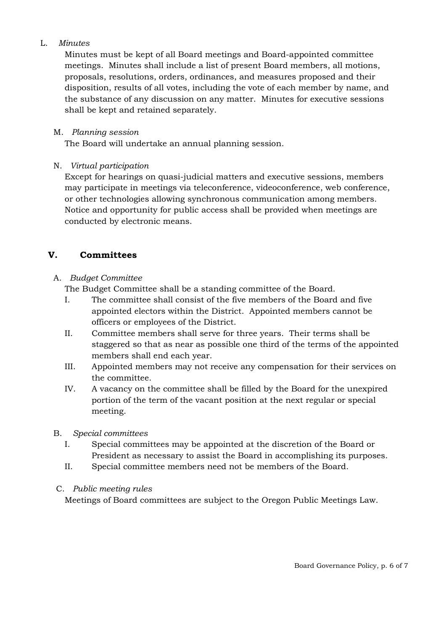### L. *Minutes*

Minutes must be kept of all Board meetings and Board-appointed committee meetings. Minutes shall include a list of present Board members, all motions, proposals, resolutions, orders, ordinances, and measures proposed and their disposition, results of all votes, including the vote of each member by name, and the substance of any discussion on any matter. Minutes for executive sessions shall be kept and retained separately.

### M. *Planning session*

The Board will undertake an annual planning session.

### N. *Virtual participation*

Except for hearings on quasi-judicial matters and executive sessions, members may participate in meetings via teleconference, videoconference, web conference, or other technologies allowing synchronous communication among members. Notice and opportunity for public access shall be provided when meetings are conducted by electronic means.

## **V. Committees**

### A. *Budget Committee*

The Budget Committee shall be a standing committee of the Board.

- I. The committee shall consist of the five members of the Board and five appointed electors within the District. Appointed members cannot be officers or employees of the District.
- II. Committee members shall serve for three years. Their terms shall be staggered so that as near as possible one third of the terms of the appointed members shall end each year.
- III. Appointed members may not receive any compensation for their services on the committee.
- IV. A vacancy on the committee shall be filled by the Board for the unexpired portion of the term of the vacant position at the next regular or special meeting.

### B. *Special committees*

- I. Special committees may be appointed at the discretion of the Board or President as necessary to assist the Board in accomplishing its purposes.
- II. Special committee members need not be members of the Board.

## C. *Public meeting rules*

Meetings of Board committees are subject to the Oregon Public Meetings Law.